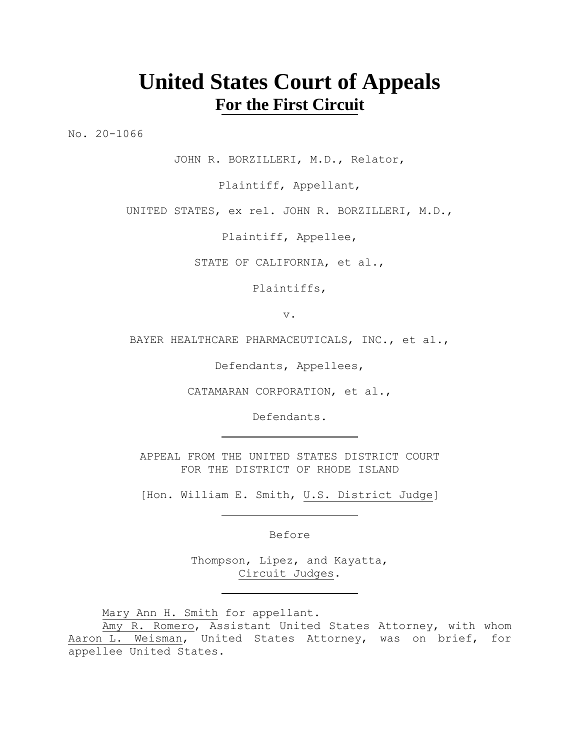# **United States Court of Appeals For the First Circuit**

No. 20-1066

JOHN R. BORZILLERI, M.D., Relator,

Plaintiff, Appellant,

UNITED STATES, ex rel. JOHN R. BORZILLERI, M.D.,

Plaintiff, Appellee,

STATE OF CALIFORNIA, et al.,

Plaintiffs,

v.

BAYER HEALTHCARE PHARMACEUTICALS, INC., et al.,

Defendants, Appellees,

CATAMARAN CORPORATION, et al.,

Defendants.

APPEAL FROM THE UNITED STATES DISTRICT COURT FOR THE DISTRICT OF RHODE ISLAND

[Hon. William E. Smith, U.S. District Judge]

Before

Thompson, Lipez, and Kayatta, Circuit Judges.

Mary Ann H. Smith for appellant.

Amy R. Romero, Assistant United States Attorney, with whom Aaron L. Weisman, United States Attorney, was on brief, for appellee United States.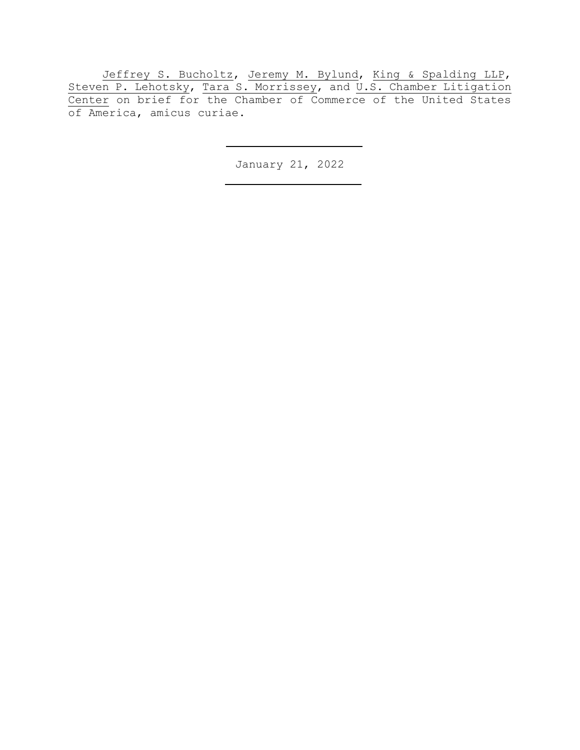Jeffrey S. Bucholtz, Jeremy M. Bylund, King & Spalding LLP, Steven P. Lehotsky, Tara S. Morrissey, and U.S. Chamber Litigation Center on brief for the Chamber of Commerce of the United States of America, amicus curiae.

January 21, 2022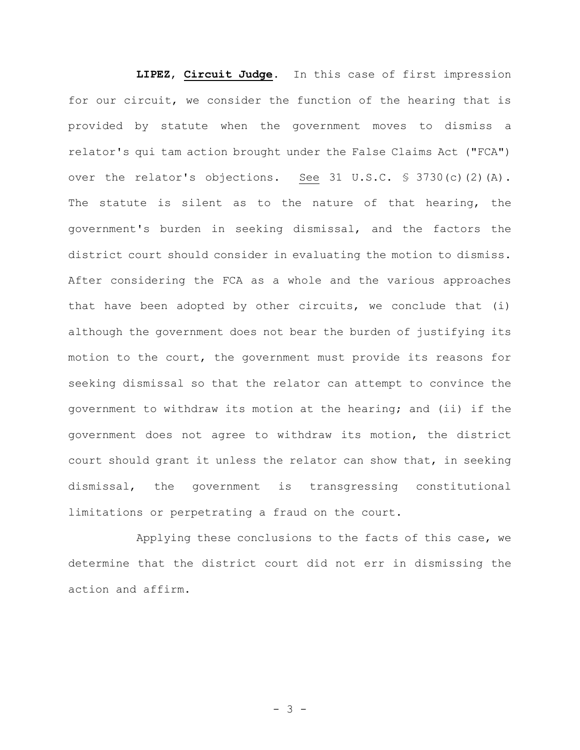**LIPEZ**, **Circuit Judge**. In this case of first impression for our circuit, we consider the function of the hearing that is provided by statute when the government moves to dismiss a relator's qui tam action brought under the False Claims Act ("FCA") over the relator's objections. See 31 U.S.C. § 3730(c)(2)(A). The statute is silent as to the nature of that hearing, the government's burden in seeking dismissal, and the factors the district court should consider in evaluating the motion to dismiss. After considering the FCA as a whole and the various approaches that have been adopted by other circuits, we conclude that (i) although the government does not bear the burden of justifying its motion to the court, the government must provide its reasons for seeking dismissal so that the relator can attempt to convince the government to withdraw its motion at the hearing; and (ii) if the government does not agree to withdraw its motion, the district court should grant it unless the relator can show that, in seeking dismissal, the government is transgressing constitutional limitations or perpetrating a fraud on the court.

Applying these conclusions to the facts of this case, we determine that the district court did not err in dismissing the action and affirm.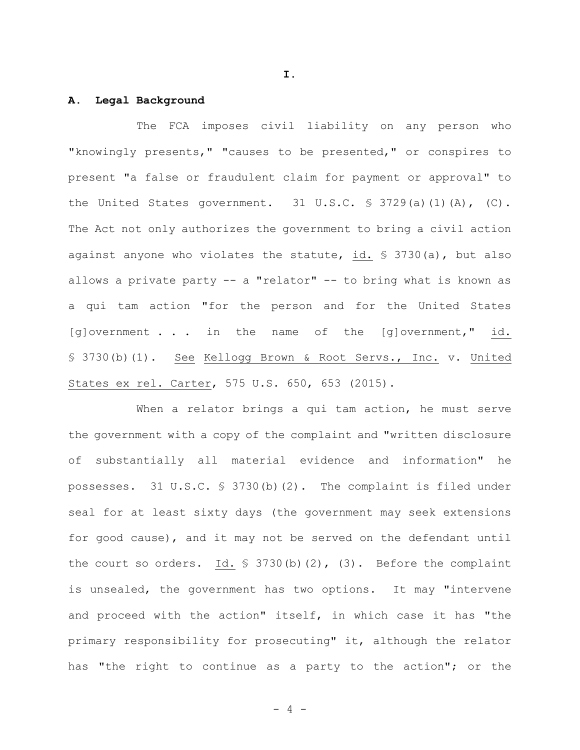**I.**

### **A. Legal Background**

The FCA imposes civil liability on any person who "knowingly presents," "causes to be presented," or conspires to present "a false or fraudulent claim for payment or approval" to the United States government. 31 U.S.C. § 3729(a)(1)(A), (C). The Act not only authorizes the government to bring a civil action against anyone who violates the statute, id. § 3730(a), but also allows a private party -- a "relator" -- to bring what is known as a qui tam action "for the person and for the United States [g]overnment . . . in the name of the [g]overnment," id. § 3730(b)(1). See Kellogg Brown & Root Servs., Inc. v. United States ex rel. Carter, 575 U.S. 650, 653 (2015).

When a relator brings a qui tam action, he must serve the government with a copy of the complaint and "written disclosure of substantially all material evidence and information" he possesses. 31 U.S.C. § 3730(b)(2). The complaint is filed under seal for at least sixty days (the government may seek extensions for good cause), and it may not be served on the defendant until the court so orders. Id.  $\frac{1}{5}$  3730(b)(2), (3). Before the complaint is unsealed, the government has two options. It may "intervene and proceed with the action" itself, in which case it has "the primary responsibility for prosecuting" it, although the relator has "the right to continue as a party to the action"; or the

- 4 -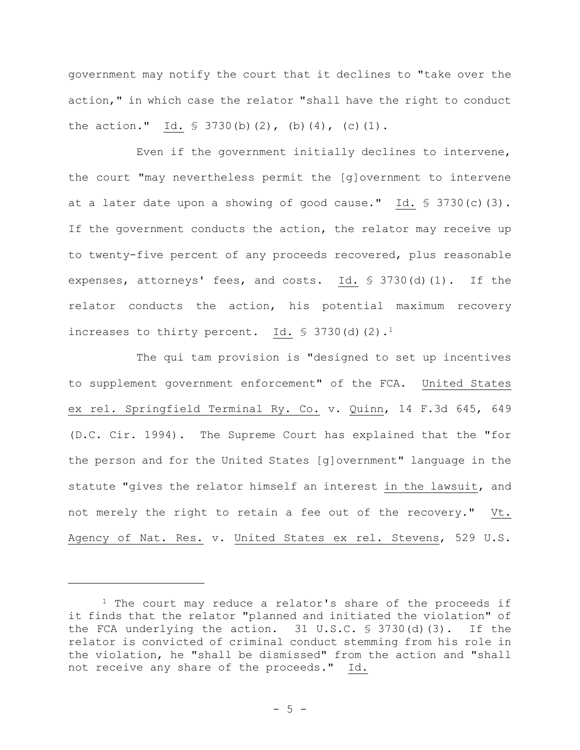government may notify the court that it declines to "take over the action," in which case the relator "shall have the right to conduct the action." Id.  $\frac{1}{5}$  3730(b)(2),(b)(4),(c)(1).

Even if the government initially declines to intervene, the court "may nevertheless permit the [g]overnment to intervene at a later date upon a showing of good cause." Id. § 3730(c)(3). If the government conducts the action, the relator may receive up to twenty-five percent of any proceeds recovered, plus reasonable expenses, attorneys' fees, and costs. Id. § 3730(d)(1). If the relator conducts the action, his potential maximum recovery increases to thirty percent. Id. § 3730(d)(2).<sup>1</sup>

The qui tam provision is "designed to set up incentives to supplement government enforcement" of the FCA. United States ex rel. Springfield Terminal Ry. Co. v. Quinn, 14 F.3d 645, 649 (D.C. Cir. 1994). The Supreme Court has explained that the "for the person and for the United States [g]overnment" language in the statute "gives the relator himself an interest in the lawsuit, and not merely the right to retain a fee out of the recovery." Vt. Agency of Nat. Res. v. United States ex rel. Stevens, 529 U.S.

 $1$  The court may reduce a relator's share of the proceeds if it finds that the relator "planned and initiated the violation" of the FCA underlying the action. 31 U.S.C. § 3730(d)(3). If the relator is convicted of criminal conduct stemming from his role in the violation, he "shall be dismissed" from the action and "shall not receive any share of the proceeds." Id.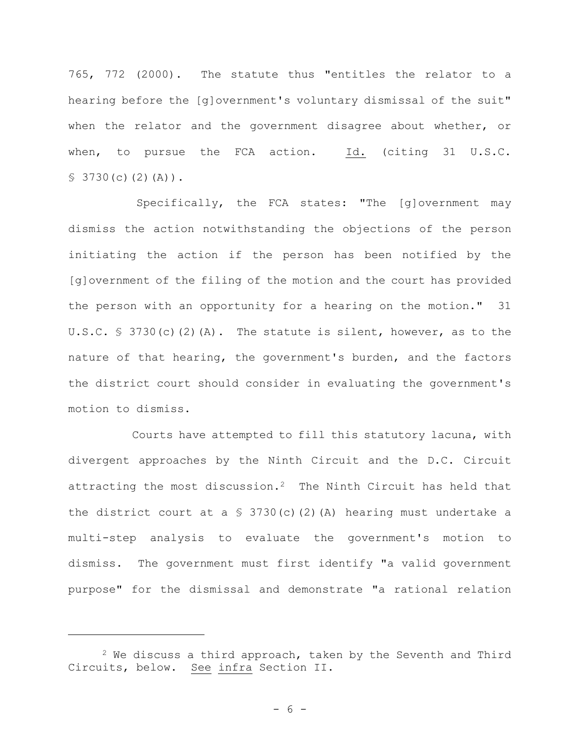765, 772 (2000). The statute thus "entitles the relator to a hearing before the [g]overnment's voluntary dismissal of the suit" when the relator and the government disagree about whether, or when, to pursue the FCA action. Id. (citing 31 U.S.C.  $$3730(c)(2)(A))$ .

Specifically, the FCA states: "The [g]overnment may dismiss the action notwithstanding the objections of the person initiating the action if the person has been notified by the [g]overnment of the filing of the motion and the court has provided the person with an opportunity for a hearing on the motion." 31 U.S.C.  $\frac{1}{5}$  3730(c)(2)(A). The statute is silent, however, as to the nature of that hearing, the government's burden, and the factors the district court should consider in evaluating the government's motion to dismiss.

Courts have attempted to fill this statutory lacuna, with divergent approaches by the Ninth Circuit and the D.C. Circuit attracting the most discussion.2 The Ninth Circuit has held that the district court at a  $\frac{1}{5}$  3730(c)(2)(A) hearing must undertake a multi-step analysis to evaluate the government's motion to dismiss. The government must first identify "a valid government purpose" for the dismissal and demonstrate "a rational relation

 $2$  We discuss a third approach, taken by the Seventh and Third Circuits, below. See infra Section II.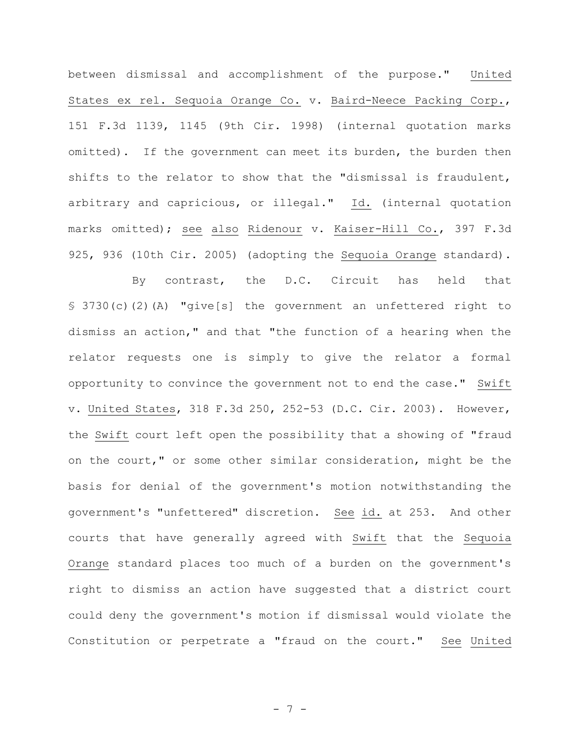between dismissal and accomplishment of the purpose." United States ex rel. Sequoia Orange Co. v. Baird-Neece Packing Corp., 151 F.3d 1139, 1145 (9th Cir. 1998) (internal quotation marks omitted). If the government can meet its burden, the burden then shifts to the relator to show that the "dismissal is fraudulent, arbitrary and capricious, or illegal." Id. (internal quotation marks omitted); see also Ridenour v. Kaiser-Hill Co., 397 F.3d 925, 936 (10th Cir. 2005) (adopting the Sequoia Orange standard).

By contrast, the D.C. Circuit has held that § 3730(c)(2)(A) "give[s] the government an unfettered right to dismiss an action," and that "the function of a hearing when the relator requests one is simply to give the relator a formal opportunity to convince the government not to end the case." Swift v. United States, 318 F.3d 250, 252-53 (D.C. Cir. 2003). However, the Swift court left open the possibility that a showing of "fraud on the court," or some other similar consideration, might be the basis for denial of the government's motion notwithstanding the government's "unfettered" discretion. See id. at 253. And other courts that have generally agreed with Swift that the Sequoia Orange standard places too much of a burden on the government's right to dismiss an action have suggested that a district court could deny the government's motion if dismissal would violate the Constitution or perpetrate a "fraud on the court." See United

- 7 -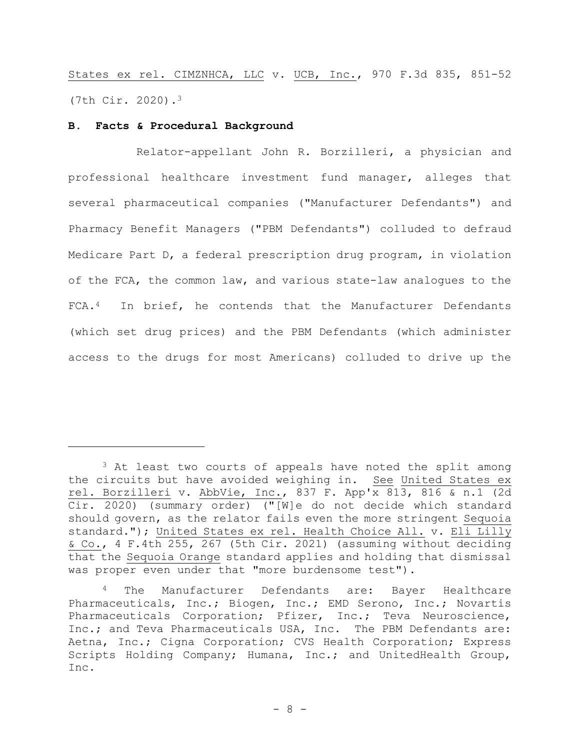States ex rel. CIMZNHCA, LLC v. UCB, Inc., 970 F.3d 835, 851-52 (7th Cir. 2020).<sup>3</sup>

## **B. Facts & Procedural Background**

Relator-appellant John R. Borzilleri, a physician and professional healthcare investment fund manager, alleges that several pharmaceutical companies ("Manufacturer Defendants") and Pharmacy Benefit Managers ("PBM Defendants") colluded to defraud Medicare Part D, a federal prescription drug program, in violation of the FCA, the common law, and various state-law analogues to the FCA.4 In brief, he contends that the Manufacturer Defendants (which set drug prices) and the PBM Defendants (which administer access to the drugs for most Americans) colluded to drive up the

<sup>&</sup>lt;sup>3</sup> At least two courts of appeals have noted the split among the circuits but have avoided weighing in. See United States ex rel. Borzilleri v. AbbVie, Inc., 837 F. App'x 813, 816 & n.1 (2d Cir. 2020) (summary order) ("[W]e do not decide which standard should govern, as the relator fails even the more stringent Sequoia standard."); United States ex rel. Health Choice All. v. Eli Lilly & Co., 4 F.4th 255, 267 (5th Cir. 2021) (assuming without deciding that the Sequoia Orange standard applies and holding that dismissal was proper even under that "more burdensome test").

<sup>4</sup> The Manufacturer Defendants are: Bayer Healthcare Pharmaceuticals, Inc.; Biogen, Inc.; EMD Serono, Inc.; Novartis Pharmaceuticals Corporation; Pfizer, Inc.; Teva Neuroscience, Inc.; and Teva Pharmaceuticals USA, Inc. The PBM Defendants are: Aetna, Inc.; Cigna Corporation; CVS Health Corporation; Express Scripts Holding Company; Humana, Inc.; and UnitedHealth Group, Inc.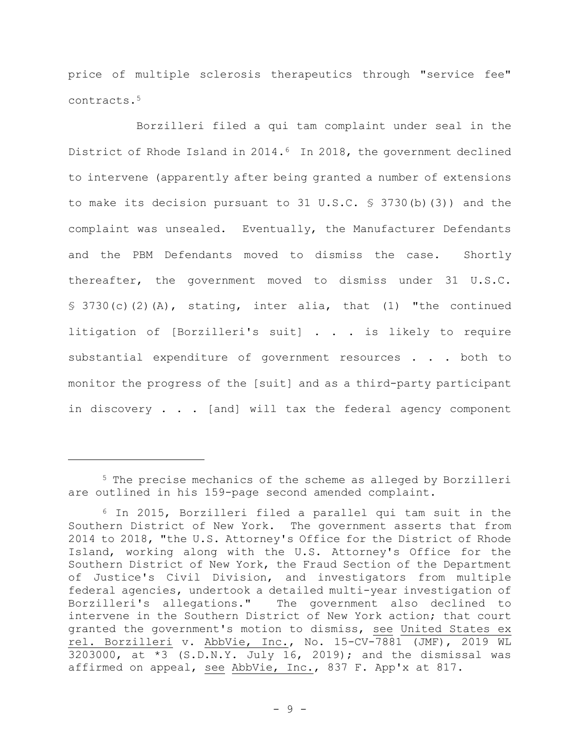price of multiple sclerosis therapeutics through "service fee" contracts.<sup>5</sup>

Borzilleri filed a qui tam complaint under seal in the District of Rhode Island in 2014.<sup>6</sup> In 2018, the government declined to intervene (apparently after being granted a number of extensions to make its decision pursuant to 31 U.S.C. § 3730(b)(3)) and the complaint was unsealed. Eventually, the Manufacturer Defendants and the PBM Defendants moved to dismiss the case. Shortly thereafter, the government moved to dismiss under 31 U.S.C.  $$3730(c)(2)(A)$ , stating, inter alia, that (1) "the continued litigation of [Borzilleri's suit] . . . is likely to require substantial expenditure of government resources . . . both to monitor the progress of the [suit] and as a third-party participant in discovery . . . [and] will tax the federal agency component

<sup>5</sup> The precise mechanics of the scheme as alleged by Borzilleri are outlined in his 159-page second amended complaint.

<sup>6</sup> In 2015, Borzilleri filed a parallel qui tam suit in the Southern District of New York. The government asserts that from 2014 to 2018, "the U.S. Attorney's Office for the District of Rhode Island, working along with the U.S. Attorney's Office for the Southern District of New York, the Fraud Section of the Department of Justice's Civil Division, and investigators from multiple federal agencies, undertook a detailed multi-year investigation of Borzilleri's allegations." The government also declined to intervene in the Southern District of New York action; that court granted the government's motion to dismiss, see United States ex rel. Borzilleri v. AbbVie, Inc., No. 15-CV-7881 (JMF), 2019 WL 3203000, at \*3 (S.D.N.Y. July 16, 2019); and the dismissal was affirmed on appeal, see AbbVie, Inc., 837 F. App'x at 817.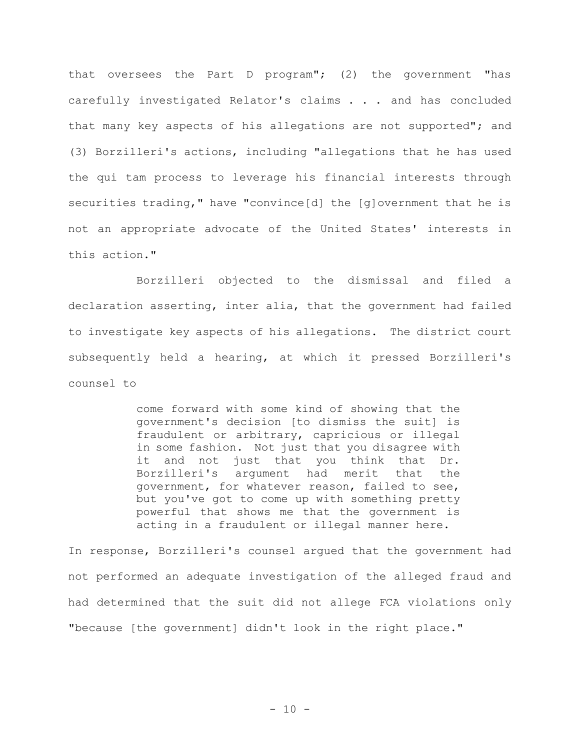that oversees the Part D program"; (2) the government "has carefully investigated Relator's claims . . . and has concluded that many key aspects of his allegations are not supported"; and (3) Borzilleri's actions, including "allegations that he has used the qui tam process to leverage his financial interests through securities trading," have "convince[d] the [g]overnment that he is not an appropriate advocate of the United States' interests in this action."

Borzilleri objected to the dismissal and filed a declaration asserting, inter alia, that the government had failed to investigate key aspects of his allegations**.** The district court subsequently held a hearing, at which it pressed Borzilleri's counsel to

> come forward with some kind of showing that the government's decision [to dismiss the suit] is fraudulent or arbitrary, capricious or illegal in some fashion. Not just that you disagree with it and not just that you think that Dr. Borzilleri's argument had merit that the government, for whatever reason, failed to see, but you've got to come up with something pretty powerful that shows me that the government is acting in a fraudulent or illegal manner here.

In response, Borzilleri's counsel argued that the government had not performed an adequate investigation of the alleged fraud and had determined that the suit did not allege FCA violations only "because [the government] didn't look in the right place."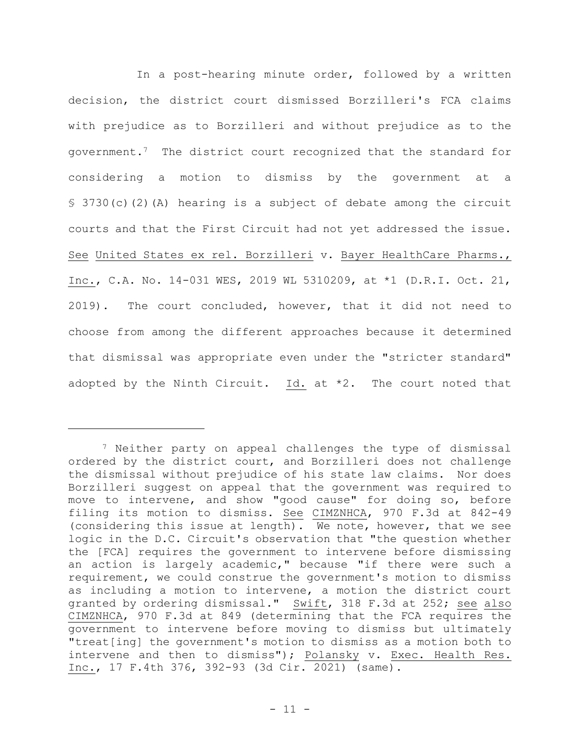In a post-hearing minute order, followed by a written decision, the district court dismissed Borzilleri's FCA claims with prejudice as to Borzilleri and without prejudice as to the government.7 The district court recognized that the standard for considering a motion to dismiss by the government at § 3730(c)(2)(A) hearing is a subject of debate among the circuit courts and that the First Circuit had not yet addressed the issue. See United States ex rel. Borzilleri v. Bayer HealthCare Pharms., Inc., C.A. No. 14-031 WES, 2019 WL 5310209, at \*1 (D.R.I. Oct. 21, 2019). The court concluded, however, that it did not need to choose from among the different approaches because it determined that dismissal was appropriate even under the "stricter standard" adopted by the Ninth Circuit.  $Id.$  at \*2. The court noted that

<sup>7</sup> Neither party on appeal challenges the type of dismissal ordered by the district court, and Borzilleri does not challenge the dismissal without prejudice of his state law claims. Nor does Borzilleri suggest on appeal that the government was required to move to intervene, and show "good cause" for doing so, before filing its motion to dismiss. See CIMZNHCA, 970 F.3d at 842-49 (considering this issue at length). We note, however, that we see logic in the D.C. Circuit's observation that "the question whether the [FCA] requires the government to intervene before dismissing an action is largely academic," because "if there were such a requirement, we could construe the government's motion to dismiss as including a motion to intervene, a motion the district court granted by ordering dismissal." Swift, 318 F.3d at 252; see also CIMZNHCA, 970 F.3d at 849 (determining that the FCA requires the government to intervene before moving to dismiss but ultimately "treat[ing] the government's motion to dismiss as a motion both to intervene and then to dismiss"); Polansky v. Exec. Health Res. Inc., 17 F.4th 376, 392-93 (3d Cir. 2021) (same).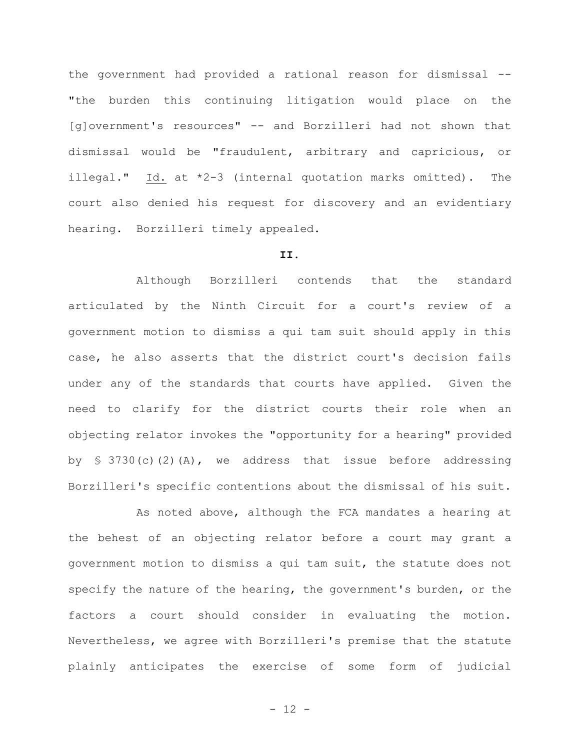the government had provided a rational reason for dismissal -- "the burden this continuing litigation would place on the [g]overnment's resources" -- and Borzilleri had not shown that dismissal would be "fraudulent, arbitrary and capricious, or illegal." Id. at \*2-3 (internal quotation marks omitted).The court also denied his request for discovery and an evidentiary hearing. Borzilleri timely appealed.

#### **II.**

Although Borzilleri contends that the standard articulated by the Ninth Circuit for a court's review of a government motion to dismiss a qui tam suit should apply in this case, he also asserts that the district court's decision fails under any of the standards that courts have applied. Given the need to clarify for the district courts their role when an objecting relator invokes the "opportunity for a hearing" provided by  $\{3730(c)(2)(A)$ , we address that issue before addressing Borzilleri's specific contentions about the dismissal of his suit.

As noted above, although the FCA mandates a hearing at the behest of an objecting relator before a court may grant a government motion to dismiss a qui tam suit, the statute does not specify the nature of the hearing, the government's burden, or the factors a court should consider in evaluating the motion. Nevertheless, we agree with Borzilleri's premise that the statute plainly anticipates the exercise of some form of judicial

- 12 -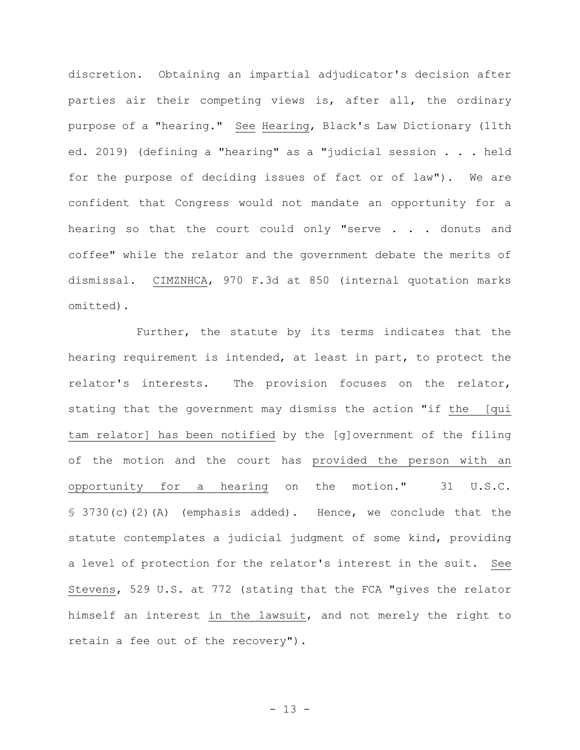discretion. Obtaining an impartial adjudicator's decision after parties air their competing views is, after all, the ordinary purpose of a "hearing." See Hearing, Black's Law Dictionary (11th ed. 2019) (defining a "hearing" as a "judicial session . . . held for the purpose of deciding issues of fact or of law"). We are confident that Congress would not mandate an opportunity for a hearing so that the court could only "serve . . . donuts and coffee" while the relator and the government debate the merits of dismissal. CIMZNHCA, 970 F.3d at 850 (internal quotation marks omitted).

Further, the statute by its terms indicates that the hearing requirement is intended, at least in part, to protect the relator's interests. The provision focuses on the relator, stating that the government may dismiss the action "if the [qui tam relator] has been notified by the [g]overnment of the filing of the motion and the court has provided the person with an opportunity for a hearing on the motion." 31 U.S.C. § 3730(c)(2)(A) (emphasis added).Hence, we conclude that the statute contemplates a judicial judgment of some kind, providing a level of protection for the relator's interest in the suit. See Stevens, 529 U.S. at 772 (stating that the FCA "gives the relator himself an interest in the lawsuit, and not merely the right to retain a fee out of the recovery").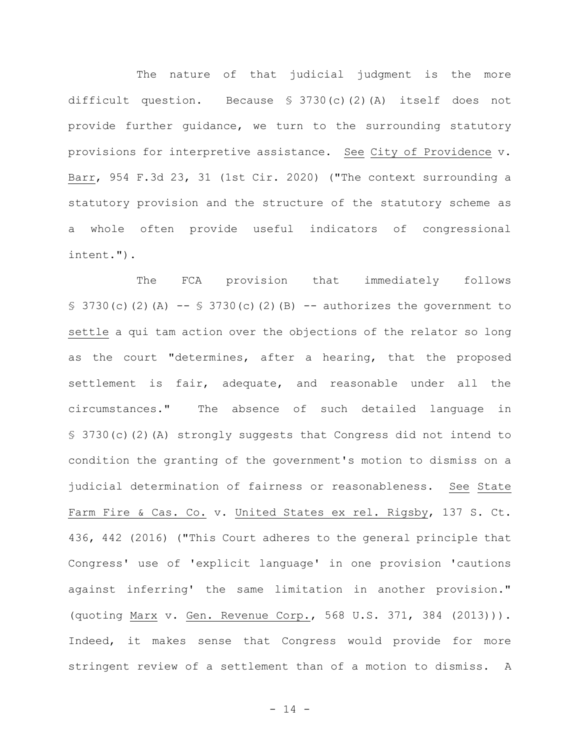The nature of that judicial judgment is the more difficult question. Because § 3730(c)(2)(A) itself does not provide further guidance, we turn to the surrounding statutory provisions for interpretive assistance. See City of Providence v. Barr, 954 F.3d 23, 31 (1st Cir. 2020) ("The context surrounding a statutory provision and the structure of the statutory scheme as a whole often provide useful indicators of congressional intent.").

The FCA provision that immediately follows § 3730(c)(2)(A)  $-$  § 3730(c)(2)(B)  $-$  authorizes the government to settle a qui tam action over the objections of the relator so long as the court "determines, after a hearing, that the proposed settlement is fair, adequate, and reasonable under all the circumstances." The absence of such detailed language in § 3730(c)(2)(A) strongly suggests that Congress did not intend to condition the granting of the government's motion to dismiss on a judicial determination of fairness or reasonableness. See State Farm Fire & Cas. Co. v. United States ex rel. Rigsby, 137 S. Ct. 436, 442 (2016) ("This Court adheres to the general principle that Congress' use of 'explicit language' in one provision 'cautions against inferring' the same limitation in another provision." (quoting Marx v. Gen. Revenue Corp., 568 U.S. 371, 384 (2013))). Indeed, it makes sense that Congress would provide for more stringent review of a settlement than of a motion to dismiss. A

- 14 -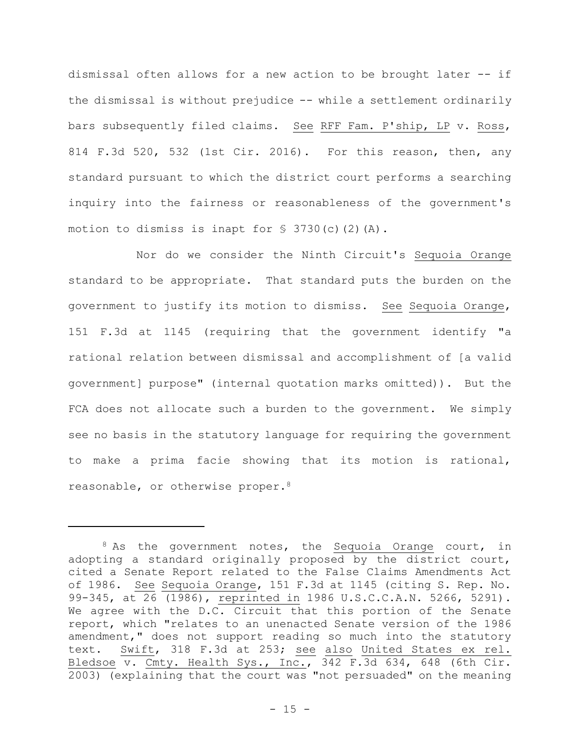dismissal often allows for a new action to be brought later -- if the dismissal is without prejudice -- while a settlement ordinarily bars subsequently filed claims. See RFF Fam. P'ship, LP v. Ross, 814 F.3d 520, 532 (1st Cir. 2016). For this reason, then, any standard pursuant to which the district court performs a searching inquiry into the fairness or reasonableness of the government's motion to dismiss is inapt for  $S$  3730(c)(2)(A).

Nor do we consider the Ninth Circuit's Sequoia Orange standard to be appropriate. That standard puts the burden on the government to justify its motion to dismiss. See Sequoia Orange, 151 F.3d at 1145 (requiring that the government identify "a rational relation between dismissal and accomplishment of [a valid government] purpose" (internal quotation marks omitted)). But the FCA does not allocate such a burden to the government. We simply see no basis in the statutory language for requiring the government to make a prima facie showing that its motion is rational, reasonable, or otherwise proper.<sup>8</sup>

 $8$  As the government notes, the Sequoia Orange court, in adopting a standard originally proposed by the district court, cited a Senate Report related to the False Claims Amendments Act of 1986. See Sequoia Orange, 151 F.3d at 1145 (citing S. Rep. No. 99-345, at 26 (1986), reprinted in 1986 U.S.C.C.A.N. 5266, 5291). We agree with the D.C. Circuit that this portion of the Senate report, which "relates to an unenacted Senate version of the 1986 amendment," does not support reading so much into the statutory text. Swift, 318 F.3d at 253; see also United States ex rel. Bledsoe v. Cmty. Health Sys., Inc., 342 F.3d 634, 648 (6th Cir. 2003) (explaining that the court was "not persuaded" on the meaning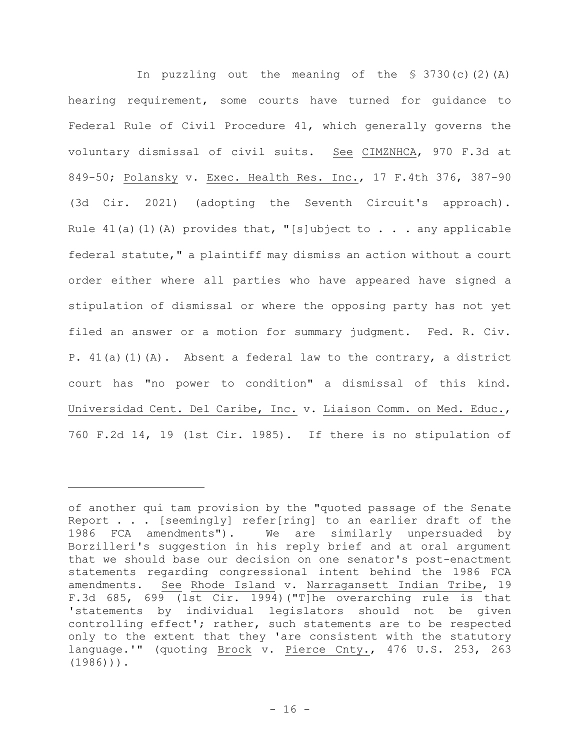In puzzling out the meaning of the  $$3730(c)(2)(A)$ hearing requirement, some courts have turned for guidance to Federal Rule of Civil Procedure 41, which generally governs the voluntary dismissal of civil suits. See CIMZNHCA, 970 F.3d at 849-50; Polansky v. Exec. Health Res. Inc., 17 F.4th 376, 387-90 (3d Cir. 2021) (adopting the Seventh Circuit's approach). Rule  $41(a)(1)(A)$  provides that, "[s]ubject to . . . any applicable federal statute," a plaintiff may dismiss an action without a court order either where all parties who have appeared have signed a stipulation of dismissal or where the opposing party has not yet filed an answer or a motion for summary judgment. Fed. R. Civ. P.  $41(a)(1)(A)$ . Absent a federal law to the contrary, a district court has "no power to condition" a dismissal of this kind. Universidad Cent. Del Caribe, Inc. v. Liaison Comm. on Med. Educ., 760 F.2d 14, 19 (1st Cir. 1985). If there is no stipulation of

of another qui tam provision by the "quoted passage of the Senate Report . . . [seemingly] refer[ring] to an earlier draft of the 1986 FCA amendments"). We are similarly unpersuaded by Borzilleri's suggestion in his reply brief and at oral argument that we should base our decision on one senator's post-enactment statements regarding congressional intent behind the 1986 FCA amendments. See Rhode Island v. Narragansett Indian Tribe, 19 F.3d 685, 699 (1st Cir. 1994)("T]he overarching rule is that 'statements by individual legislators should not be given controlling effect'; rather, such statements are to be respected only to the extent that they 'are consistent with the statutory language.'" (quoting Brock v. Pierce Cnty., 476 U.S. 253, 263 (1986))).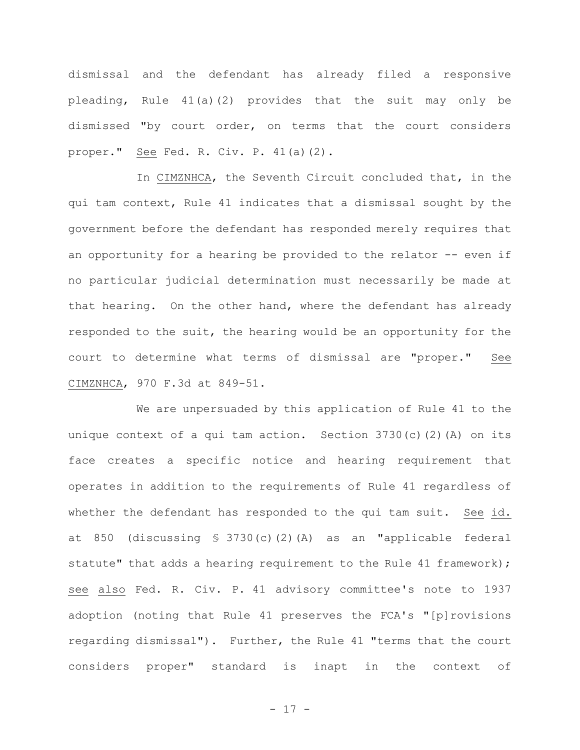dismissal and the defendant has already filed a responsive pleading, Rule 41(a)(2) provides that the suit may only be dismissed "by court order, on terms that the court considers proper." See Fed. R. Civ. P. 41(a)(2).

In CIMZNHCA, the Seventh Circuit concluded that, in the qui tam context, Rule 41 indicates that a dismissal sought by the government before the defendant has responded merely requires that an opportunity for a hearing be provided to the relator -- even if no particular judicial determination must necessarily be made at that hearing. On the other hand, where the defendant has already responded to the suit, the hearing would be an opportunity for the court to determine what terms of dismissal are "proper." See CIMZNHCA, 970 F.3d at 849-51.

We are unpersuaded by this application of Rule 41 to the unique context of a qui tam action. Section  $3730(c)(2)(A)$  on its face creates a specific notice and hearing requirement that operates in addition to the requirements of Rule 41 regardless of whether the defendant has responded to the qui tam suit. See id. at 850 (discussing § 3730(c)(2)(A) as an "applicable federal statute" that adds a hearing requirement to the Rule 41 framework); see also Fed. R. Civ. P. 41 advisory committee's note to 1937 adoption (noting that Rule 41 preserves the FCA's "[p]rovisions regarding dismissal"). Further, the Rule 41 "terms that the court considers proper" standard is inapt in the context of

- 17 -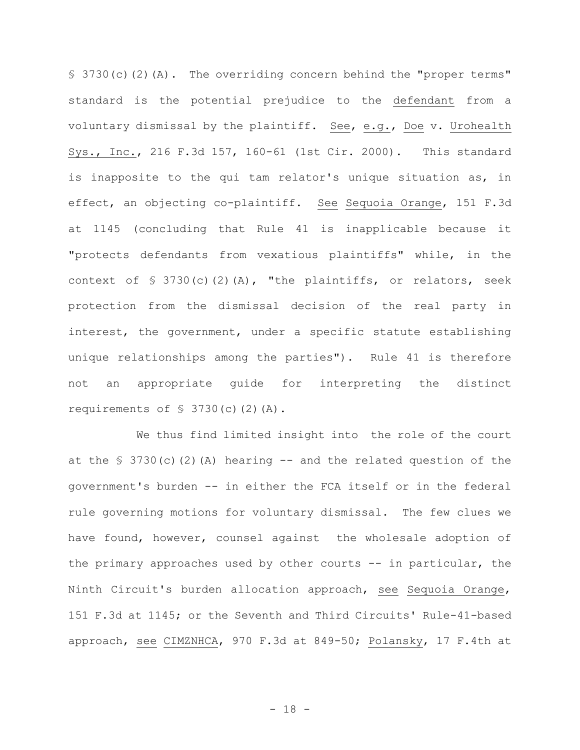§ 3730(c)(2)(A). The overriding concern behind the "proper terms" standard is the potential prejudice to the defendant from a voluntary dismissal by the plaintiff. See, e.g., Doe v. Urohealth Sys., Inc., 216 F.3d 157, 160-61 (1st Cir. 2000). This standard is inapposite to the qui tam relator's unique situation as, in effect, an objecting co-plaintiff. See Sequoia Orange, 151 F.3d at 1145 (concluding that Rule 41 is inapplicable because it "protects defendants from vexatious plaintiffs" while, in the context of § 3730(c)(2)(A), "the plaintiffs, or relators, seek protection from the dismissal decision of the real party in interest, the government, under a specific statute establishing unique relationships among the parties"). Rule 41 is therefore not an appropriate guide for interpreting the distinct requirements of  $$3730(c)(2)(A)$ .

We thus find limited insight into the role of the court at the  $\frac{1}{5}$  3730(c)(2)(A) hearing -- and the related question of the government's burden -- in either the FCA itself or in the federal rule governing motions for voluntary dismissal. The few clues we have found, however, counsel against the wholesale adoption of the primary approaches used by other courts -- in particular, the Ninth Circuit's burden allocation approach, see Sequoia Orange, 151 F.3d at 1145; or the Seventh and Third Circuits' Rule-41-based approach, see CIMZNHCA, 970 F.3d at 849-50; Polansky, 17 F.4th at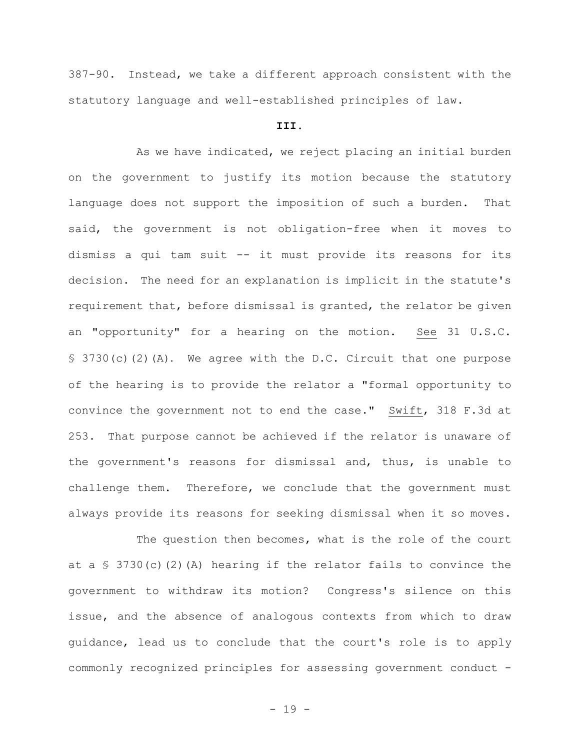387-90.Instead, we take a different approach consistent with the statutory language and well-established principles of law.

## **III.**

As we have indicated, we reject placing an initial burden on the government to justify its motion because the statutory language does not support the imposition of such a burden. That said, the government is not obligation-free when it moves to dismiss a qui tam suit -- it must provide its reasons for its decision. The need for an explanation is implicit in the statute's requirement that, before dismissal is granted, the relator be given an "opportunity" for a hearing on the motion. See 31 U.S.C. § 3730(c)(2)(A). We agree with the D.C. Circuit that one purpose of the hearing is to provide the relator a "formal opportunity to convince the government not to end the case." Swift, 318 F.3d at 253. That purpose cannot be achieved if the relator is unaware of the government's reasons for dismissal and, thus, is unable to challenge them. Therefore, we conclude that the government must always provide its reasons for seeking dismissal when it so moves.

The question then becomes, what is the role of the court at a  $\frac{1}{2}$  3730(c)(2)(A) hearing if the relator fails to convince the government to withdraw its motion? Congress's silence on this issue, and the absence of analogous contexts from which to draw guidance, lead us to conclude that the court's role is to apply commonly recognized principles for assessing government conduct -

- 19 -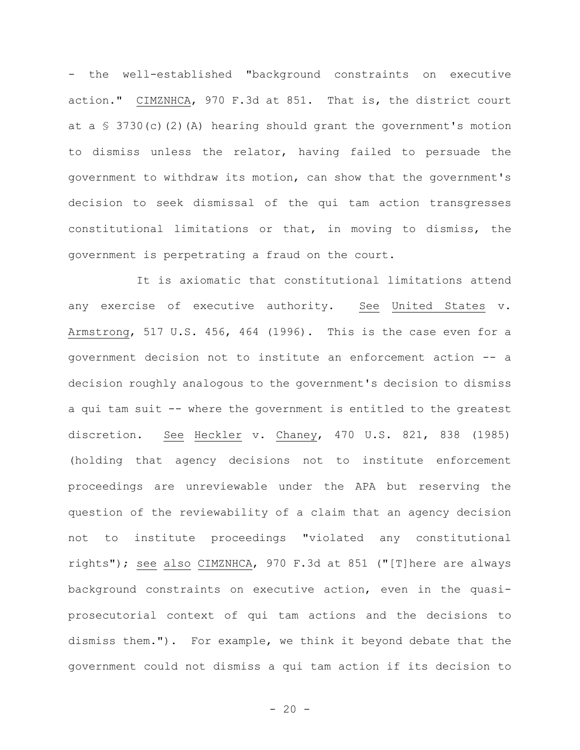- the well-established "background constraints on executive action." CIMZNHCA, 970 F.3d at 851. That is, the district court at a  $\S$  3730(c)(2)(A) hearing should grant the government's motion to dismiss unless the relator, having failed to persuade the government to withdraw its motion, can show that the government's decision to seek dismissal of the qui tam action transgresses constitutional limitations or that, in moving to dismiss, the government is perpetrating a fraud on the court.

It is axiomatic that constitutional limitations attend any exercise of executive authority. See United States v. Armstrong, 517 U.S. 456, 464 (1996). This is the case even for a government decision not to institute an enforcement action -- a decision roughly analogous to the government's decision to dismiss a qui tam suit -- where the government is entitled to the greatest discretion. See Heckler v. Chaney, 470 U.S. 821, 838 (1985) (holding that agency decisions not to institute enforcement proceedings are unreviewable under the APA but reserving the question of the reviewability of a claim that an agency decision not to institute proceedings "violated any constitutional rights"); see also CIMZNHCA, 970 F.3d at 851 ("[T]here are always background constraints on executive action, even in the quasiprosecutorial context of qui tam actions and the decisions to dismiss them."). For example, we think it beyond debate that the government could not dismiss a qui tam action if its decision to

 $- 20 -$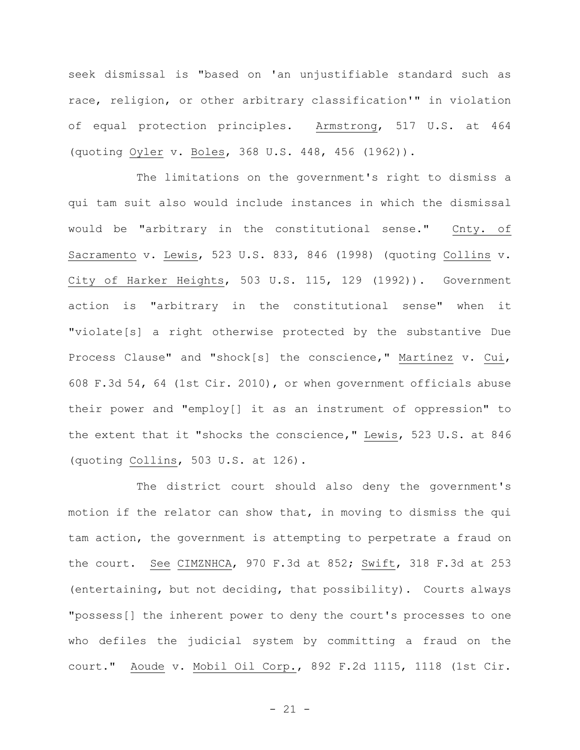seek dismissal is "based on 'an unjustifiable standard such as race, religion, or other arbitrary classification'" in violation of equal protection principles. Armstrong, 517 U.S. at 464 (quoting Oyler v. Boles, 368 U.S. 448, 456 (1962)).

The limitations on the government's right to dismiss a qui tam suit also would include instances in which the dismissal would be "arbitrary in the constitutional sense." Cnty. of Sacramento v. Lewis, 523 U.S. 833, 846 (1998) (quoting Collins v. City of Harker Heights, 503 U.S. 115, 129 (1992)). Government action is "arbitrary in the constitutional sense" when it "violate[s] a right otherwise protected by the substantive Due Process Clause" and "shock[s] the conscience," Martínez v. Cui, 608 F.3d 54, 64 (1st Cir. 2010), or when government officials abuse their power and "employ[] it as an instrument of oppression" to the extent that it "shocks the conscience," Lewis, 523 U.S. at 846 (quoting Collins, 503 U.S. at 126).

The district court should also deny the government's motion if the relator can show that, in moving to dismiss the qui tam action, the government is attempting to perpetrate a fraud on the court. See CIMZNHCA, 970 F.3d at 852; Swift, 318 F.3d at 253 (entertaining, but not deciding, that possibility). Courts always "possess[] the inherent power to deny the court's processes to one who defiles the judicial system by committing a fraud on the court." Aoude v. Mobil Oil Corp., 892 F.2d 1115, 1118 (1st Cir.

- 21 -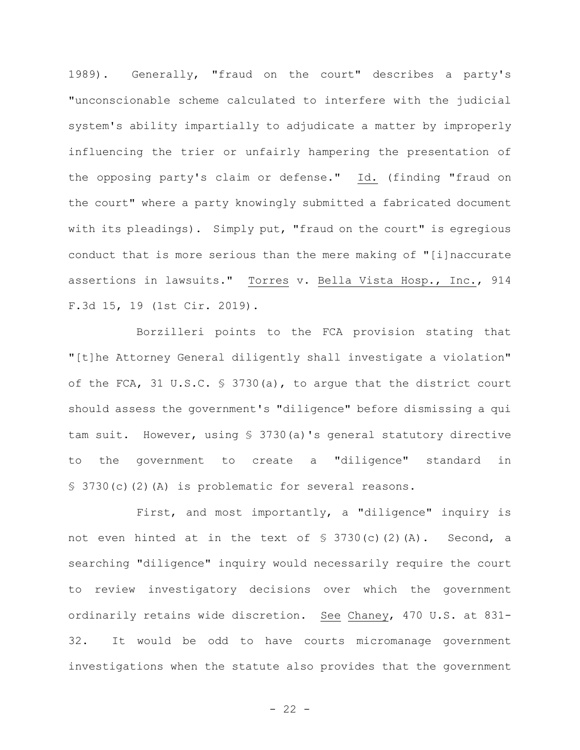1989). Generally, "fraud on the court" describes a party's "unconscionable scheme calculated to interfere with the judicial system's ability impartially to adjudicate a matter by improperly influencing the trier or unfairly hampering the presentation of the opposing party's claim or defense." Id. (finding "fraud on the court" where a party knowingly submitted a fabricated document with its pleadings). Simply put, "fraud on the court" is egregious conduct that is more serious than the mere making of "[i]naccurate assertions in lawsuits." Torres v. Bella Vista Hosp., Inc., 914 F.3d 15, 19 (1st Cir. 2019).

Borzilleri points to the FCA provision stating that "[t]he Attorney General diligently shall investigate a violation" of the FCA, 31 U.S.C. § 3730(a), to argue that the district court should assess the government's "diligence" before dismissing a qui tam suit. However, using § 3730(a)'s general statutory directive to the government to create a "diligence" standard in § 3730(c)(2)(A) is problematic for several reasons.

First, and most importantly, a "diligence" inquiry is not even hinted at in the text of § 3730(c)(2)(A). Second, a searching "diligence" inquiry would necessarily require the court to review investigatory decisions over which the government ordinarily retains wide discretion. See Chaney, 470 U.S. at 831- 32. It would be odd to have courts micromanage government investigations when the statute also provides that the government

 $- 22 -$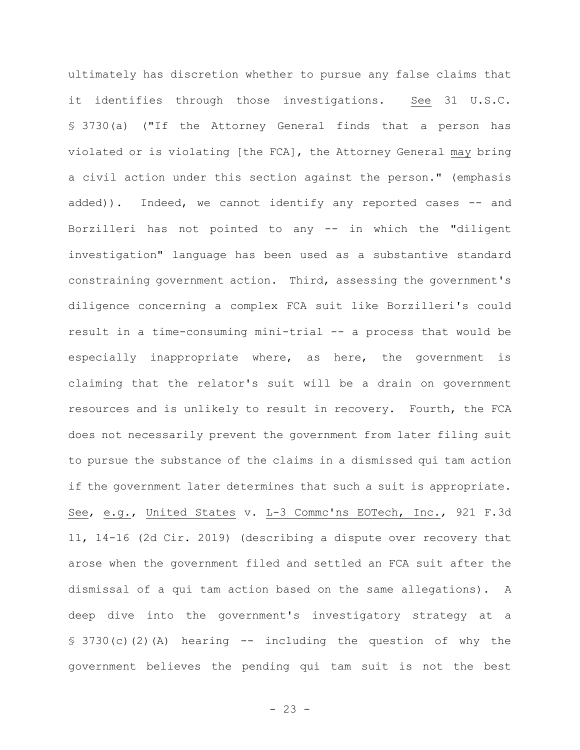ultimately has discretion whether to pursue any false claims that it identifies through those investigations. See 31 U.S.C. § 3730(a) ("If the Attorney General finds that a person has violated or is violating [the FCA], the Attorney General may bring a civil action under this section against the person." (emphasis added)). Indeed, we cannot identify any reported cases -- and Borzilleri has not pointed to any -- in which the "diligent investigation" language has been used as a substantive standard constraining government action. Third, assessing the government's diligence concerning a complex FCA suit like Borzilleri's could result in a time-consuming mini-trial -- a process that would be especially inappropriate where, as here, the government is claiming that the relator's suit will be a drain on government resources and is unlikely to result in recovery. Fourth, the FCA does not necessarily prevent the government from later filing suit to pursue the substance of the claims in a dismissed qui tam action if the government later determines that such a suit is appropriate. See, e.g., United States v. L-3 Commc'ns EOTech, Inc., 921 F.3d 11, 14-16 (2d Cir. 2019) (describing a dispute over recovery that arose when the government filed and settled an FCA suit after the dismissal of a qui tam action based on the same allegations). A deep dive into the government's investigatory strategy at a  $$3730(c)(2)(A)$  hearing -- including the question of why the government believes the pending qui tam suit is not the best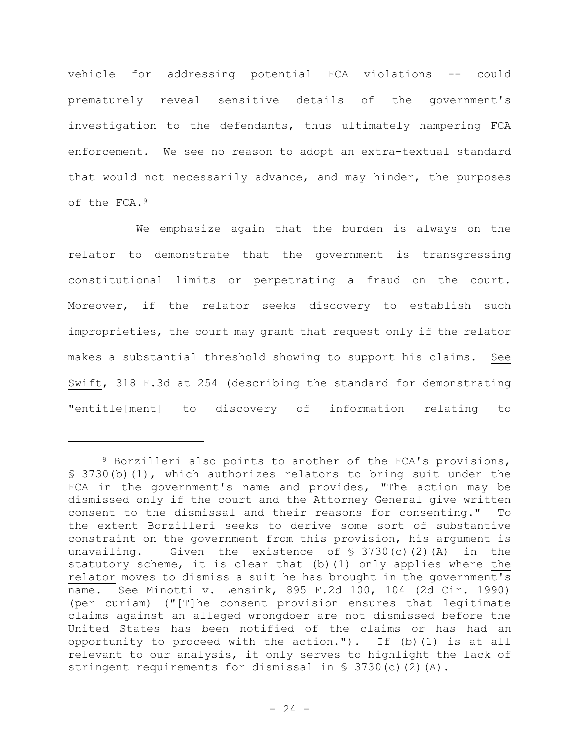vehicle for addressing potential FCA violations -- could prematurely reveal sensitive details of the government's investigation to the defendants, thus ultimately hampering FCA enforcement. We see no reason to adopt an extra-textual standard that would not necessarily advance, and may hinder, the purposes of the FCA.<sup>9</sup>

We emphasize again that the burden is always on the relator to demonstrate that the government is transgressing constitutional limits or perpetrating a fraud on the court. Moreover, if the relator seeks discovery to establish such improprieties, the court may grant that request only if the relator makes a substantial threshold showing to support his claims. See Swift, 318 F.3d at 254 (describing the standard for demonstrating "entitle[ment] to discovery of information relating to

<sup>9</sup> Borzilleri also points to another of the FCA's provisions, § 3730(b)(1), which authorizes relators to bring suit under the FCA in the government's name and provides, "The action may be dismissed only if the court and the Attorney General give written consent to the dismissal and their reasons for consenting." To the extent Borzilleri seeks to derive some sort of substantive constraint on the government from this provision, his argument is unavailing. Given the existence of  $\frac{1}{2}$  3730(c)(2)(A) in the statutory scheme, it is clear that (b)(1) only applies where the relator moves to dismiss a suit he has brought in the government's name. See Minotti v. Lensink, 895 F.2d 100, 104 (2d Cir. 1990) (per curiam) ("[T]he consent provision ensures that legitimate claims against an alleged wrongdoer are not dismissed before the United States has been notified of the claims or has had an opportunity to proceed with the action."). If (b)(1) is at all relevant to our analysis, it only serves to highlight the lack of stringent requirements for dismissal in § 3730(c)(2)(A).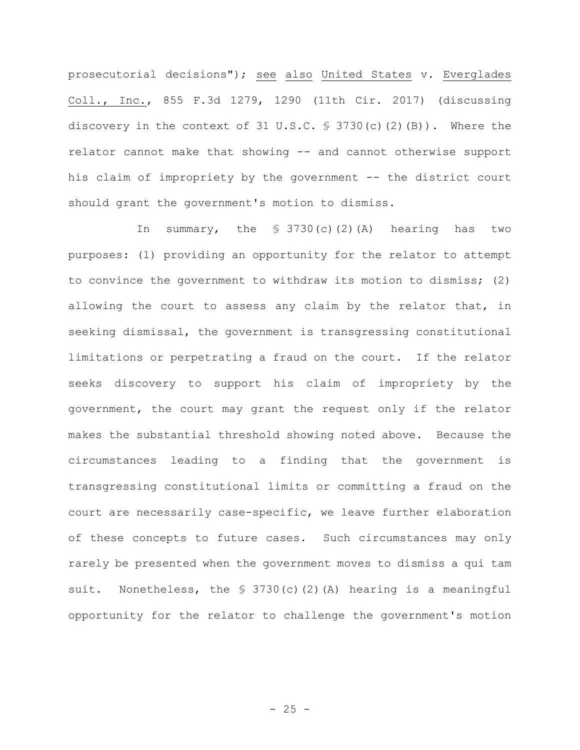prosecutorial decisions"); see also United States v. Everglades Coll., Inc., 855 F.3d 1279, 1290 (11th Cir. 2017) (discussing discovery in the context of 31 U.S.C.  $\frac{1}{5}$  3730(c)(2)(B)). Where the relator cannot make that showing -- and cannot otherwise support his claim of impropriety by the government -- the district court should grant the government's motion to dismiss.

In summary, the  $\frac{1}{5}$  3730(c)(2)(A) hearing has two purposes: (1) providing an opportunity for the relator to attempt to convince the government to withdraw its motion to dismiss; (2) allowing the court to assess any claim by the relator that, in seeking dismissal, the government is transgressing constitutional limitations or perpetrating a fraud on the court. If the relator seeks discovery to support his claim of impropriety by the government, the court may grant the request only if the relator makes the substantial threshold showing noted above. Because the circumstances leading to a finding that the government is transgressing constitutional limits or committing a fraud on the court are necessarily case-specific, we leave further elaboration of these concepts to future cases. Such circumstances may only rarely be presented when the government moves to dismiss a qui tam suit. Nonetheless, the § 3730(c)(2)(A) hearing is a meaningful opportunity for the relator to challenge the government's motion

 $- 25 -$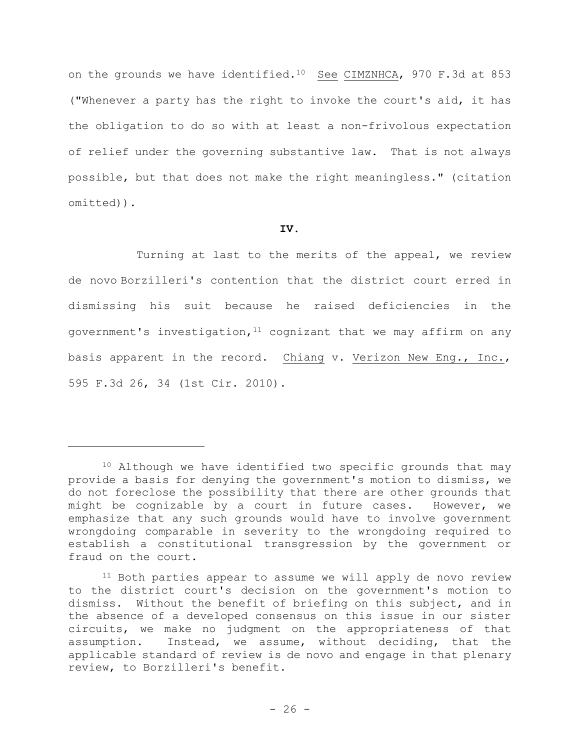on the grounds we have identified.10 See CIMZNHCA, 970 F.3d at 853 ("Whenever a party has the right to invoke the court's aid, it has the obligation to do so with at least a non-frivolous expectation of relief under the governing substantive law. That is not always possible, but that does not make the right meaningless." (citation omitted)).

## **IV.**

Turning at last to the merits of the appeal, we review de novo Borzilleri's contention that the district court erred in dismissing his suit because he raised deficiencies in the government's investigation,  $11$  cognizant that we may affirm on any basis apparent in the record. Chiang v. Verizon New Eng., Inc., 595 F.3d 26, 34 (1st Cir. 2010).

<sup>&</sup>lt;sup>10</sup> Although we have identified two specific grounds that may provide a basis for denying the government's motion to dismiss, we do not foreclose the possibility that there are other grounds that might be cognizable by a court in future cases. However, we emphasize that any such grounds would have to involve government wrongdoing comparable in severity to the wrongdoing required to establish a constitutional transgression by the government or fraud on the court.

<sup>&</sup>lt;sup>11</sup> Both parties appear to assume we will apply de novo review to the district court's decision on the government's motion to dismiss. Without the benefit of briefing on this subject, and in the absence of a developed consensus on this issue in our sister circuits, we make no judgment on the appropriateness of that assumption. Instead, we assume, without deciding, that the applicable standard of review is de novo and engage in that plenary review, to Borzilleri's benefit.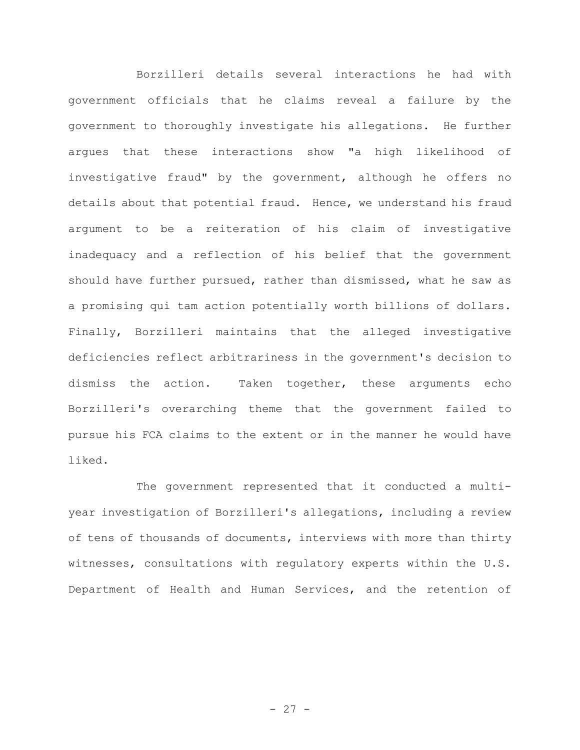Borzilleri details several interactions he had with government officials that he claims reveal a failure by the government to thoroughly investigate his allegations. He further argues that these interactions show "a high likelihood of investigative fraud" by the government, although he offers no details about that potential fraud. Hence, we understand his fraud argument to be a reiteration of his claim of investigative inadequacy and a reflection of his belief that the government should have further pursued, rather than dismissed, what he saw as a promising qui tam action potentially worth billions of dollars. Finally, Borzilleri maintains that the alleged investigative deficiencies reflect arbitrariness in the government's decision to dismiss the action. Taken together, these arguments echo Borzilleri's overarching theme that the government failed to pursue his FCA claims to the extent or in the manner he would have liked.

The government represented that it conducted a multiyear investigation of Borzilleri's allegations, including a review of tens of thousands of documents, interviews with more than thirty witnesses, consultations with regulatory experts within the U.S. Department of Health and Human Services, and the retention of